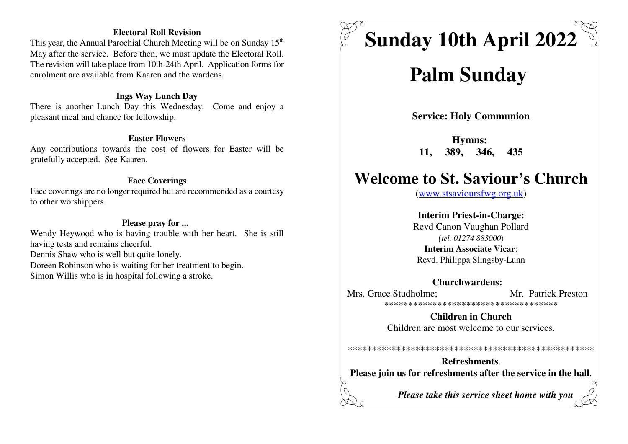### **Electoral Roll Revision**

This year, the Annual Parochial Church Meeting will be on Sunday 15<sup>th</sup> May after the service. Before then, we must update the Electoral Roll. The revision will take place from 10th-24th April. Application forms forenrolment are available from Kaaren and the wardens.

### **Ings Way Lunch Day**

 There is another Lunch Day this Wednesday. Come and enjoy apleasant meal and chance for fellowship.

### **Easter Flowers**

 Any contributions towards the cost of flowers for Easter will begratefully accepted. See Kaaren.

### **Face Coverings**

 Face coverings are no longer required but are recommended as a courtesyto other worshippers.

### **Please pray for ...**

 Wendy Heywood who is having trouble with her heart. She is stillhaving tests and remains cheerful.Dennis Shaw who is well but quite lonely. Doreen Robinson who is waiting for her treatment to begin.Simon Willis who is in hospital following a stroke.

# **Sunday 10th April 2022**

## **Palm Sunday**

**Service: Holy Communion**

**Hymns: 11, 389, 346, 435**

## **Welcome to St. Saviour's Church**

(www.stsavioursfwg.org.uk)

**Interim Priest-in-Charge:** Revd Canon Vaughan Pollard*(tel. 01274 883000*)**Interim Associate Vicar**:

Revd. Philippa Slingsby-Lunn

### **Churchwardens:**

Mrs. Grace Studholme: Mr. Patrick Preston \*\*\*\*\*\*\*\*\*\*\*\*\*\*\*\*\*\*\*\*\*\*\*\*\*\*\*\*\*\*\*\*\*\*\*\*

> **Children in Church**Children are most welcome to our services.

\*\*\*\*\*\*\*\*\*\*\*\*\*\*\*\*\*\*\*\*\*\*\*\*\*\*\*\*\*\*\*\*\*\*\*\*\*\*\*\*\*\*\*\*\*\*\*\*\*\*\*

**Refreshments**.**Please join us for refreshments after the service in the hall**.

*Please take this service sheet home with you*